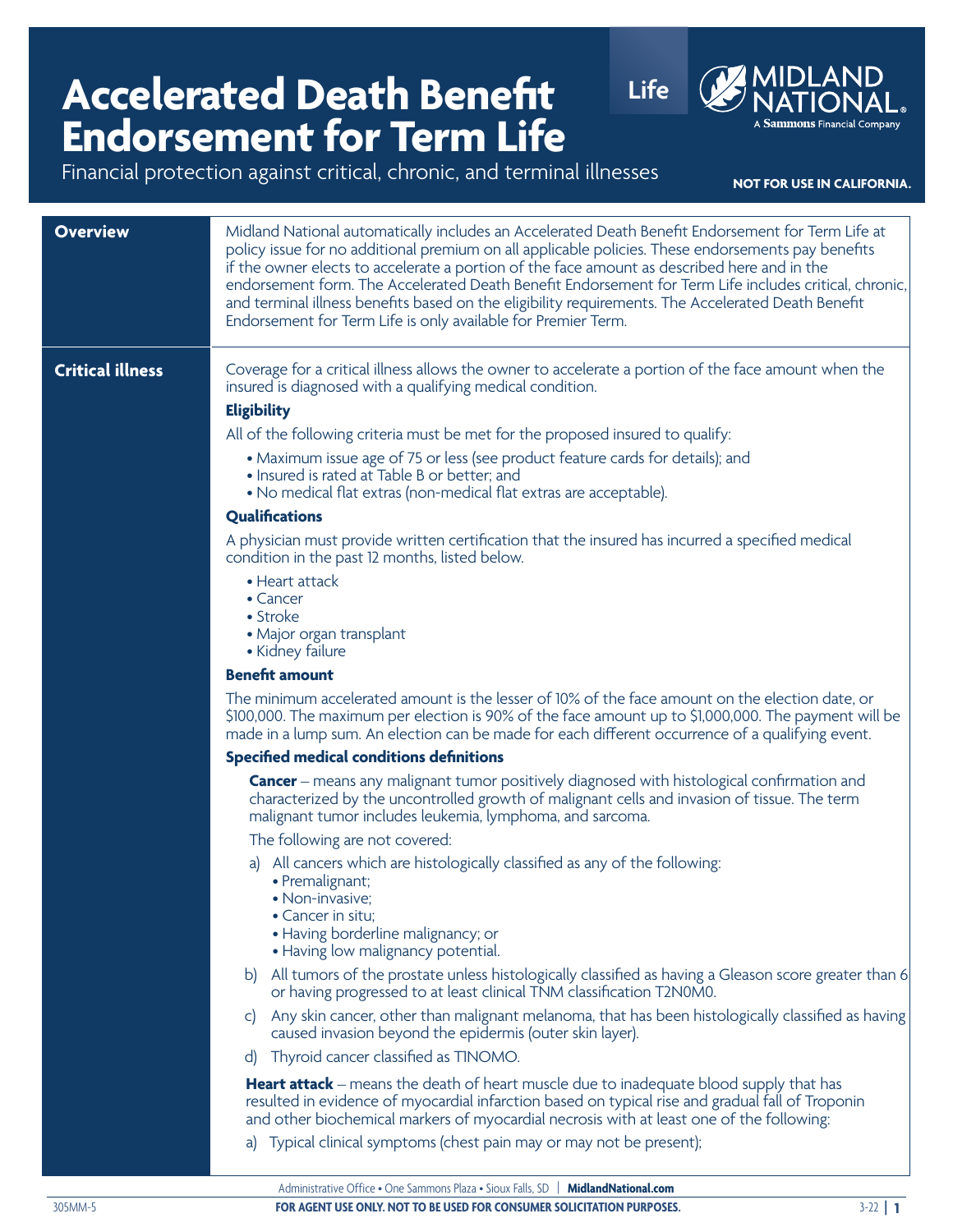## **Accelerated Death Benefit Life**<br> **Life Endorsement for Term Life Endorsement for Term Life**



|                         | Financial protection against critical, chronic, and terminal illnesses<br>NOT FOR USE IN CALIFORNIA.                                                                                                                                                                                                                                                                                                                                                                                                                                                                                                                                                                                                       |
|-------------------------|------------------------------------------------------------------------------------------------------------------------------------------------------------------------------------------------------------------------------------------------------------------------------------------------------------------------------------------------------------------------------------------------------------------------------------------------------------------------------------------------------------------------------------------------------------------------------------------------------------------------------------------------------------------------------------------------------------|
| <b>Overview</b>         | Midland National automatically includes an Accelerated Death Benefit Endorsement for Term Life at<br>policy issue for no additional premium on all applicable policies. These endorsements pay benefits<br>if the owner elects to accelerate a portion of the face amount as described here and in the<br>endorsement form. The Accelerated Death Benefit Endorsement for Term Life includes critical, chronic,<br>and terminal illness benefits based on the eligibility requirements. The Accelerated Death Benefit<br>Endorsement for Term Life is only available for Premier Term.                                                                                                                     |
| <b>Critical illness</b> | Coverage for a critical illness allows the owner to accelerate a portion of the face amount when the<br>insured is diagnosed with a qualifying medical condition.<br><b>Eligibility</b><br>All of the following criteria must be met for the proposed insured to qualify:<br>• Maximum issue age of 75 or less (see product feature cards for details); and<br>. Insured is rated at Table B or better; and<br>• No medical flat extras (non-medical flat extras are acceptable).<br><b>Qualifications</b><br>A physician must provide written certification that the insured has incurred a specified medical<br>condition in the past 12 months, listed below.<br>• Heart attack<br>• Cancer<br>• Stroke |
|                         | • Major organ transplant<br>• Kidney failure<br><b>Benefit amount</b>                                                                                                                                                                                                                                                                                                                                                                                                                                                                                                                                                                                                                                      |
|                         | The minimum accelerated amount is the lesser of 10% of the face amount on the election date, or<br>\$100,000. The maximum per election is 90% of the face amount up to \$1,000,000. The payment will be<br>made in a lump sum. An election can be made for each different occurrence of a qualifying event.                                                                                                                                                                                                                                                                                                                                                                                                |
|                         | <b>Specified medical conditions definitions</b>                                                                                                                                                                                                                                                                                                                                                                                                                                                                                                                                                                                                                                                            |
|                         | <b>Cancer</b> – means any malignant tumor positively diagnosed with histological confirmation and<br>characterized by the uncontrolled growth of malignant cells and invasion of tissue. The term<br>malignant tumor includes leukemia, lymphoma, and sarcoma.                                                                                                                                                                                                                                                                                                                                                                                                                                             |
|                         | The following are not covered:                                                                                                                                                                                                                                                                                                                                                                                                                                                                                                                                                                                                                                                                             |
|                         | a) All cancers which are histologically classified as any of the following:<br>• Premalignant;<br>• Non-invasive;<br>• Cancer in situ:<br>• Having borderline malignancy; or<br>• Having low malignancy potential.                                                                                                                                                                                                                                                                                                                                                                                                                                                                                         |
|                         | b) All tumors of the prostate unless histologically classified as having a Gleason score greater than 6<br>or having progressed to at least clinical TNM classification T2N0M0.                                                                                                                                                                                                                                                                                                                                                                                                                                                                                                                            |
|                         | Any skin cancer, other than malignant melanoma, that has been histologically classified as having<br>C)<br>caused invasion beyond the epidermis (outer skin layer).                                                                                                                                                                                                                                                                                                                                                                                                                                                                                                                                        |
|                         | Thyroid cancer classified as TINOMO.<br>$\mathsf{d}$                                                                                                                                                                                                                                                                                                                                                                                                                                                                                                                                                                                                                                                       |
|                         | <b>Heart attack</b> – means the death of heart muscle due to inadequate blood supply that has<br>resulted in evidence of myocardial infarction based on typical rise and gradual fall of Troponin<br>and other biochemical markers of myocardial necrosis with at least one of the following:                                                                                                                                                                                                                                                                                                                                                                                                              |
|                         | Typical clinical symptoms (chest pain may or may not be present);<br>a)                                                                                                                                                                                                                                                                                                                                                                                                                                                                                                                                                                                                                                    |

305MM-5 **FOR AGENT USE ONLY. NOT TO BE USED FOR CONSUMER SOLICITATION PURPOSES.** 3-22 **| 1**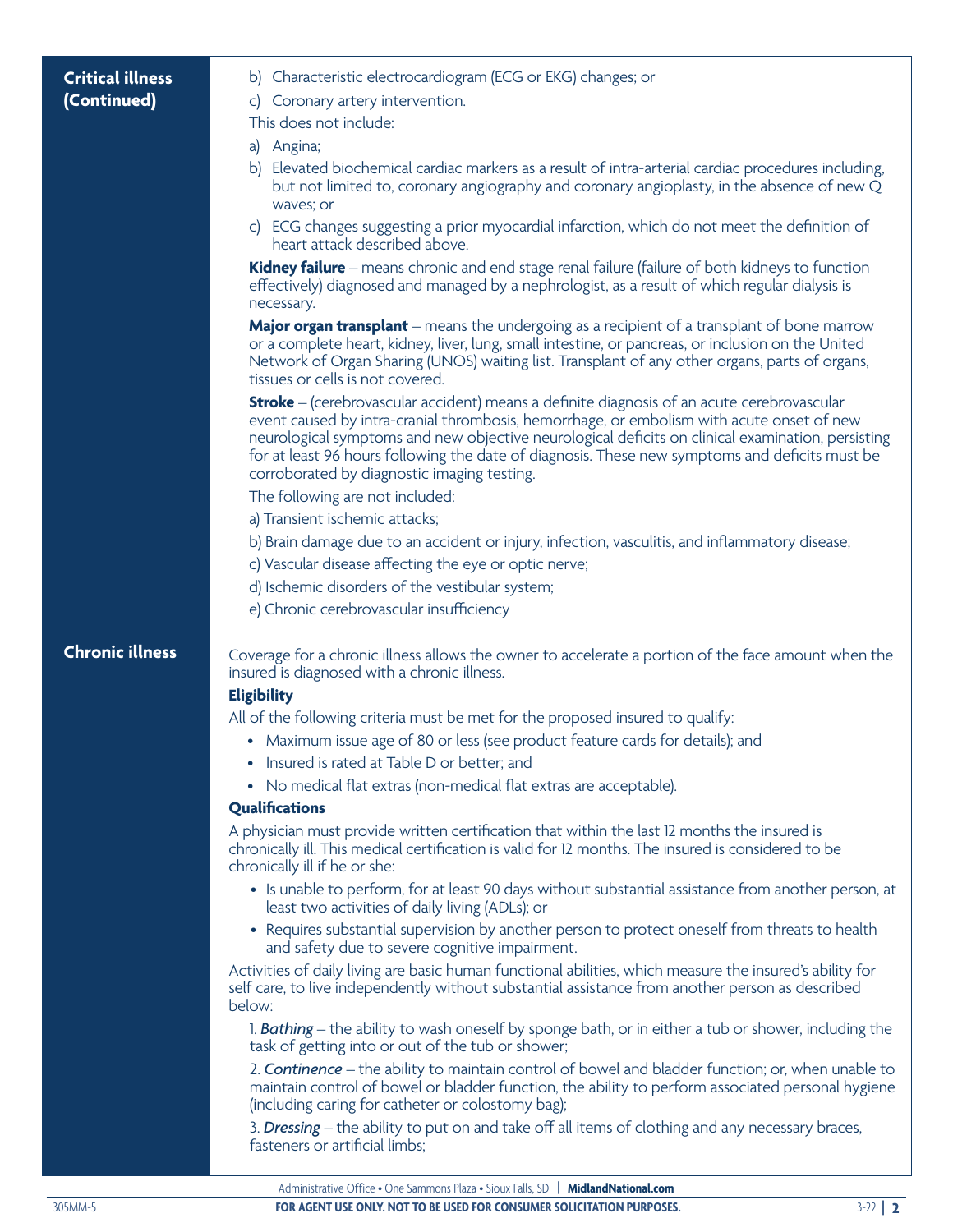| <b>Critical illness</b> | b) Characteristic electrocardiogram (ECG or EKG) changes; or                                                                                                                                                                                                                                                                                                                                                                                         |
|-------------------------|------------------------------------------------------------------------------------------------------------------------------------------------------------------------------------------------------------------------------------------------------------------------------------------------------------------------------------------------------------------------------------------------------------------------------------------------------|
| (Continued)             | c) Coronary artery intervention.                                                                                                                                                                                                                                                                                                                                                                                                                     |
|                         | This does not include:                                                                                                                                                                                                                                                                                                                                                                                                                               |
|                         | a) Angina;                                                                                                                                                                                                                                                                                                                                                                                                                                           |
|                         | b) Elevated biochemical cardiac markers as a result of intra-arterial cardiac procedures including,<br>but not limited to, coronary angiography and coronary angioplasty, in the absence of new Q<br>waves; or                                                                                                                                                                                                                                       |
|                         | c) ECG changes suggesting a prior myocardial infarction, which do not meet the definition of<br>heart attack described above.                                                                                                                                                                                                                                                                                                                        |
|                         | Kidney failure – means chronic and end stage renal failure (failure of both kidneys to function<br>effectively) diagnosed and managed by a nephrologist, as a result of which regular dialysis is<br>necessary.                                                                                                                                                                                                                                      |
|                         | <b>Major organ transplant</b> – means the undergoing as a recipient of a transplant of bone marrow<br>or a complete heart, kidney, liver, lung, small intestine, or pancreas, or inclusion on the United<br>Network of Organ Sharing (UNOS) waiting list. Transplant of any other organs, parts of organs,<br>tissues or cells is not covered.                                                                                                       |
|                         | <b>Stroke</b> – (cerebrovascular accident) means a definite diagnosis of an acute cerebrovascular<br>event caused by intra-cranial thrombosis, hemorrhage, or embolism with acute onset of new<br>neurological symptoms and new objective neurological deficits on clinical examination, persisting<br>for at least 96 hours following the date of diagnosis. These new symptoms and deficits must be<br>corroborated by diagnostic imaging testing. |
|                         | The following are not included:                                                                                                                                                                                                                                                                                                                                                                                                                      |
|                         | a) Transient ischemic attacks;                                                                                                                                                                                                                                                                                                                                                                                                                       |
|                         | b) Brain damage due to an accident or injury, infection, vasculitis, and inflammatory disease;                                                                                                                                                                                                                                                                                                                                                       |
|                         | c) Vascular disease affecting the eye or optic nerve;                                                                                                                                                                                                                                                                                                                                                                                                |
|                         | d) Ischemic disorders of the vestibular system;                                                                                                                                                                                                                                                                                                                                                                                                      |
|                         | e) Chronic cerebrovascular insufficiency                                                                                                                                                                                                                                                                                                                                                                                                             |
| <b>Chronic illness</b>  | Coverage for a chronic illness allows the owner to accelerate a portion of the face amount when the<br>insured is diagnosed with a chronic illness.                                                                                                                                                                                                                                                                                                  |
|                         | <b>Eligibility</b>                                                                                                                                                                                                                                                                                                                                                                                                                                   |
|                         | All of the following criteria must be met for the proposed insured to qualify:                                                                                                                                                                                                                                                                                                                                                                       |
|                         | • Maximum issue age of 80 or less (see product feature cards for details); and                                                                                                                                                                                                                                                                                                                                                                       |
|                         | Insured is rated at Table D or better; and                                                                                                                                                                                                                                                                                                                                                                                                           |
|                         | No medical flat extras (non-medical flat extras are acceptable).<br><b>Qualifications</b>                                                                                                                                                                                                                                                                                                                                                            |
|                         | A physician must provide written certification that within the last 12 months the insured is<br>chronically ill. This medical certification is valid for 12 months. The insured is considered to be<br>chronically ill if he or she:                                                                                                                                                                                                                 |
|                         | • Is unable to perform, for at least 90 days without substantial assistance from another person, at<br>least two activities of daily living (ADLs); or                                                                                                                                                                                                                                                                                               |
|                         | • Requires substantial supervision by another person to protect oneself from threats to health<br>and safety due to severe cognitive impairment.                                                                                                                                                                                                                                                                                                     |
|                         | Activities of daily living are basic human functional abilities, which measure the insured's ability for<br>self care, to live independently without substantial assistance from another person as described<br>below:                                                                                                                                                                                                                               |
|                         | 1. Bathing – the ability to wash oneself by sponge bath, or in either a tub or shower, including the<br>task of getting into or out of the tub or shower;                                                                                                                                                                                                                                                                                            |
|                         | 2. <b>Continence</b> – the ability to maintain control of bowel and bladder function; or, when unable to<br>maintain control of bowel or bladder function, the ability to perform associated personal hygiene<br>(including caring for catheter or colostomy bag);                                                                                                                                                                                   |
|                         | 3. Dressing – the ability to put on and take off all items of clothing and any necessary braces,<br>fasteners or artificial limbs;                                                                                                                                                                                                                                                                                                                   |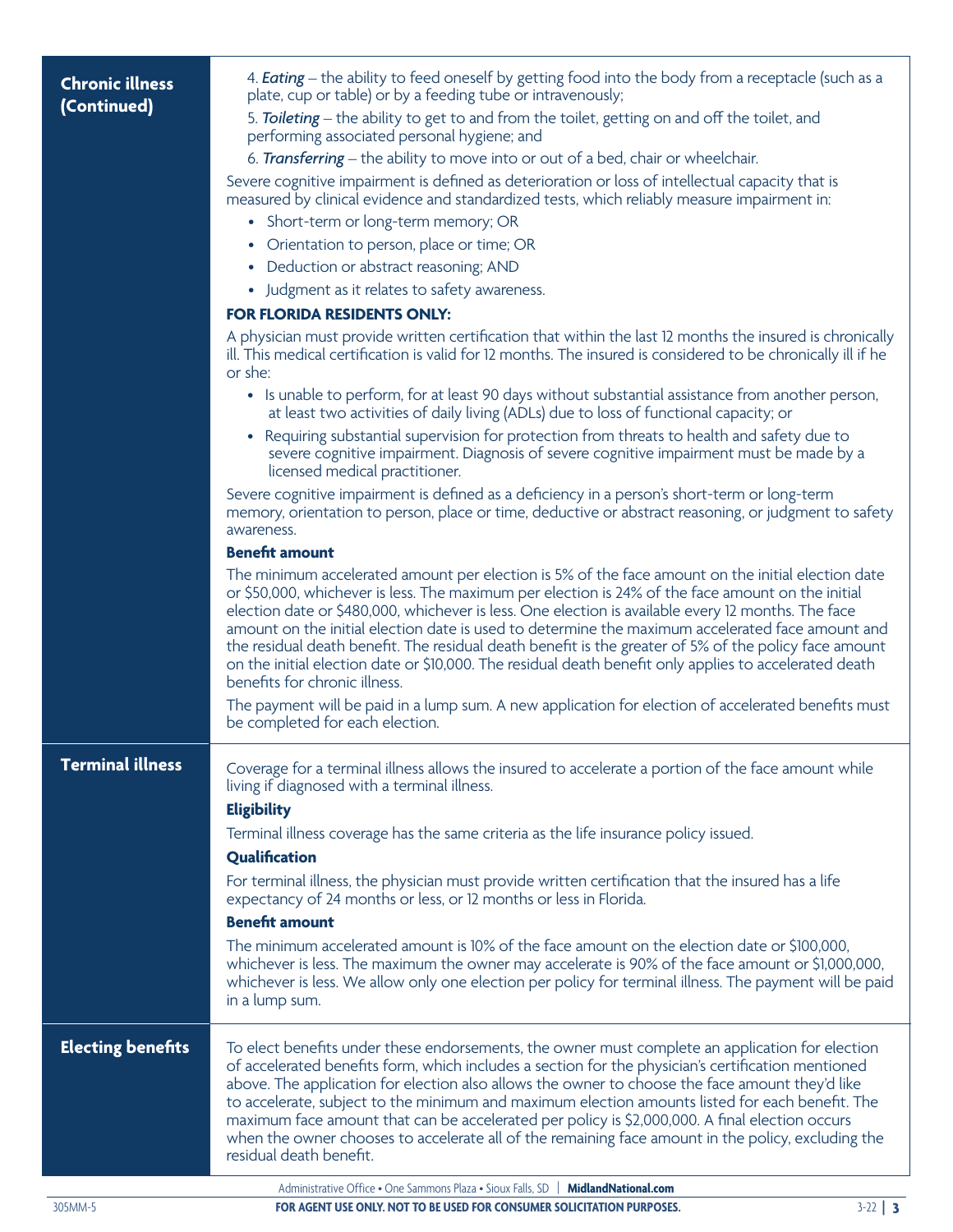| <b>Chronic illness</b>   | 4. <b>Eating</b> – the ability to feed oneself by getting food into the body from a receptacle (such as a<br>plate, cup or table) or by a feeding tube or intravenously;                                                                                                                                                                                                                                                                                                                                                                                                                                                                                             |
|--------------------------|----------------------------------------------------------------------------------------------------------------------------------------------------------------------------------------------------------------------------------------------------------------------------------------------------------------------------------------------------------------------------------------------------------------------------------------------------------------------------------------------------------------------------------------------------------------------------------------------------------------------------------------------------------------------|
| (Continued)              | 5. Toileting – the ability to get to and from the toilet, getting on and off the toilet, and<br>performing associated personal hygiene; and                                                                                                                                                                                                                                                                                                                                                                                                                                                                                                                          |
|                          | 6. Transferring – the ability to move into or out of a bed, chair or wheelchair.                                                                                                                                                                                                                                                                                                                                                                                                                                                                                                                                                                                     |
|                          | Severe cognitive impairment is defined as deterioration or loss of intellectual capacity that is<br>measured by clinical evidence and standardized tests, which reliably measure impairment in:                                                                                                                                                                                                                                                                                                                                                                                                                                                                      |
|                          | • Short-term or long-term memory; OR                                                                                                                                                                                                                                                                                                                                                                                                                                                                                                                                                                                                                                 |
|                          | Orientation to person, place or time; OR<br>$\bullet$                                                                                                                                                                                                                                                                                                                                                                                                                                                                                                                                                                                                                |
|                          | Deduction or abstract reasoning; AND<br>٠                                                                                                                                                                                                                                                                                                                                                                                                                                                                                                                                                                                                                            |
|                          | • Judgment as it relates to safety awareness.                                                                                                                                                                                                                                                                                                                                                                                                                                                                                                                                                                                                                        |
|                          | FOR FLORIDA RESIDENTS ONLY:                                                                                                                                                                                                                                                                                                                                                                                                                                                                                                                                                                                                                                          |
|                          | A physician must provide written certification that within the last 12 months the insured is chronically<br>ill. This medical certification is valid for 12 months. The insured is considered to be chronically ill if he<br>or she:                                                                                                                                                                                                                                                                                                                                                                                                                                 |
|                          | • Is unable to perform, for at least 90 days without substantial assistance from another person,<br>at least two activities of daily living (ADLs) due to loss of functional capacity; or                                                                                                                                                                                                                                                                                                                                                                                                                                                                            |
|                          | Requiring substantial supervision for protection from threats to health and safety due to<br>$\bullet$<br>severe cognitive impairment. Diagnosis of severe cognitive impairment must be made by a<br>licensed medical practitioner.                                                                                                                                                                                                                                                                                                                                                                                                                                  |
|                          | Severe cognitive impairment is defined as a deficiency in a person's short-term or long-term<br>memory, orientation to person, place or time, deductive or abstract reasoning, or judgment to safety<br>awareness.                                                                                                                                                                                                                                                                                                                                                                                                                                                   |
|                          | <b>Benefit amount</b>                                                                                                                                                                                                                                                                                                                                                                                                                                                                                                                                                                                                                                                |
|                          | The minimum accelerated amount per election is 5% of the face amount on the initial election date<br>or \$50,000, whichever is less. The maximum per election is 24% of the face amount on the initial<br>election date or \$480,000, whichever is less. One election is available every 12 months. The face<br>amount on the initial election date is used to determine the maximum accelerated face amount and<br>the residual death benefit. The residual death benefit is the greater of 5% of the policy face amount<br>on the initial election date or \$10,000. The residual death benefit only applies to accelerated death<br>benefits for chronic illness. |
|                          | The payment will be paid in a lump sum. A new application for election of accelerated benefits must<br>be completed for each election.                                                                                                                                                                                                                                                                                                                                                                                                                                                                                                                               |
| <b>Terminal illness</b>  | Coverage for a terminal illness allows the insured to accelerate a portion of the face amount while<br>living if diagnosed with a terminal illness.<br><b>Eligibility</b>                                                                                                                                                                                                                                                                                                                                                                                                                                                                                            |
|                          | Terminal illness coverage has the same criteria as the life insurance policy issued.<br>Qualification                                                                                                                                                                                                                                                                                                                                                                                                                                                                                                                                                                |
|                          | For terminal illness, the physician must provide written certification that the insured has a life<br>expectancy of 24 months or less, or 12 months or less in Florida.                                                                                                                                                                                                                                                                                                                                                                                                                                                                                              |
|                          | <b>Benefit amount</b>                                                                                                                                                                                                                                                                                                                                                                                                                                                                                                                                                                                                                                                |
|                          | The minimum accelerated amount is 10% of the face amount on the election date or \$100,000,<br>whichever is less. The maximum the owner may accelerate is 90% of the face amount or \$1,000,000,<br>whichever is less. We allow only one election per policy for terminal illness. The payment will be paid<br>in a lump sum.                                                                                                                                                                                                                                                                                                                                        |
| <b>Electing benefits</b> | To elect benefits under these endorsements, the owner must complete an application for election<br>of accelerated benefits form, which includes a section for the physician's certification mentioned<br>above. The application for election also allows the owner to choose the face amount they'd like<br>to accelerate, subject to the minimum and maximum election amounts listed for each benefit. The<br>maximum face amount that can be accelerated per policy is \$2,000,000. A final election occurs<br>when the owner chooses to accelerate all of the remaining face amount in the policy, excluding the<br>residual death benefit.                       |
|                          | Administrative Office • One Sammons Plaza • Sioux Falls SD   MidlandNational com                                                                                                                                                                                                                                                                                                                                                                                                                                                                                                                                                                                     |

305MM-5 **FOR AGENT USE ONLY. NOT TO BE USED FOR CONSUMER SOLICITATION PURPOSES.** 3-22 **| 3**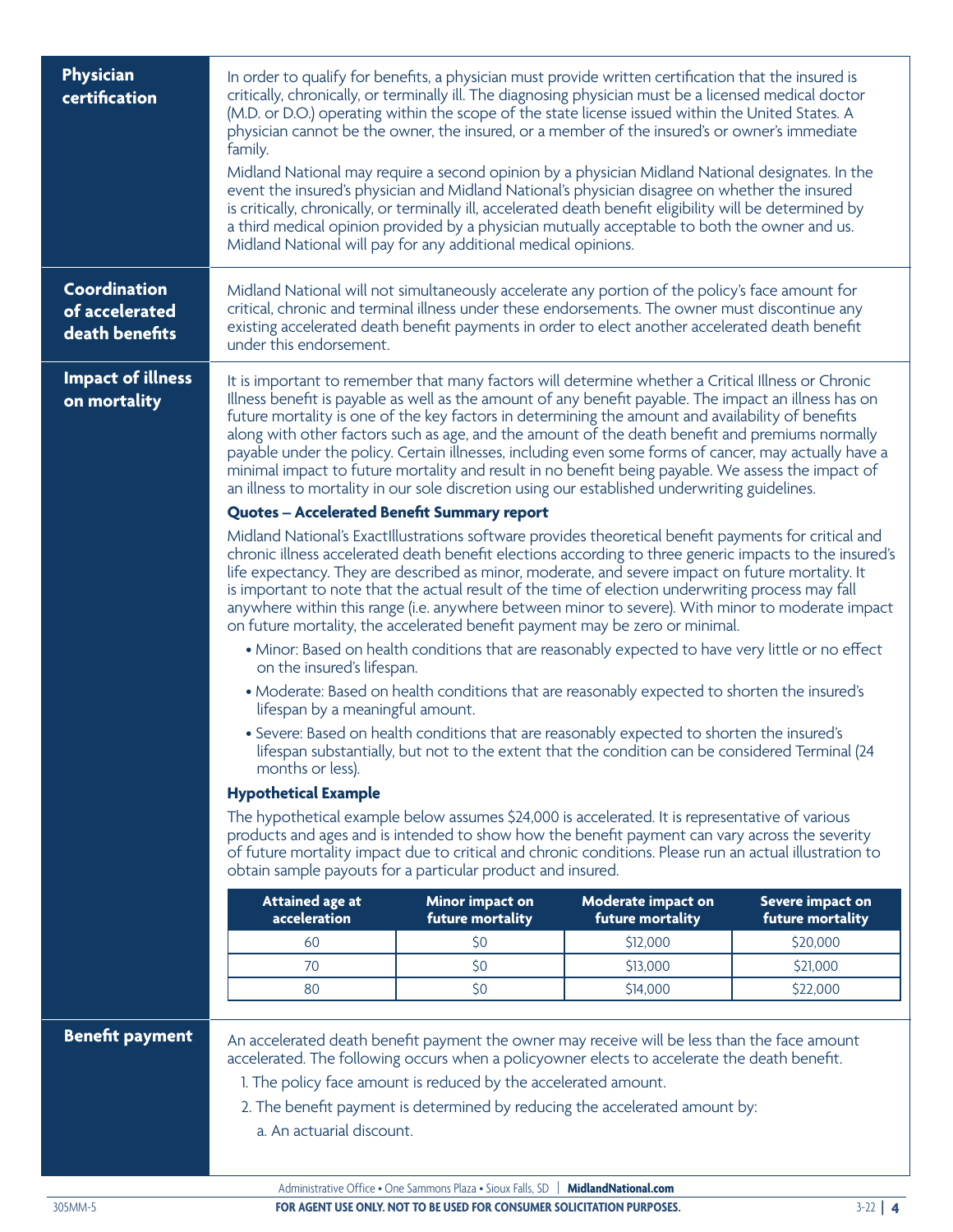| family.                                                                                                                                                                                                                                                                                                                                                                                                                                                                                                                                                                                                                                                                                                                                                                                                                                                                                                                                                                                                                                                                                                                                                                                                                                                                                                                                                                                                                                                                                                                                                                                                                                                                                                                                                                           |                                             |                                               |                                                                                                                                                                                                                                                                                                                                                                                                                                                                                                                                                                                                                                                                                                                                                                                                                                                                                                                                                                                                                                                                                                                                                                                                                                                                                                                                                                                      |  |
|-----------------------------------------------------------------------------------------------------------------------------------------------------------------------------------------------------------------------------------------------------------------------------------------------------------------------------------------------------------------------------------------------------------------------------------------------------------------------------------------------------------------------------------------------------------------------------------------------------------------------------------------------------------------------------------------------------------------------------------------------------------------------------------------------------------------------------------------------------------------------------------------------------------------------------------------------------------------------------------------------------------------------------------------------------------------------------------------------------------------------------------------------------------------------------------------------------------------------------------------------------------------------------------------------------------------------------------------------------------------------------------------------------------------------------------------------------------------------------------------------------------------------------------------------------------------------------------------------------------------------------------------------------------------------------------------------------------------------------------------------------------------------------------|---------------------------------------------|-----------------------------------------------|--------------------------------------------------------------------------------------------------------------------------------------------------------------------------------------------------------------------------------------------------------------------------------------------------------------------------------------------------------------------------------------------------------------------------------------------------------------------------------------------------------------------------------------------------------------------------------------------------------------------------------------------------------------------------------------------------------------------------------------------------------------------------------------------------------------------------------------------------------------------------------------------------------------------------------------------------------------------------------------------------------------------------------------------------------------------------------------------------------------------------------------------------------------------------------------------------------------------------------------------------------------------------------------------------------------------------------------------------------------------------------------|--|
| Midland National will not simultaneously accelerate any portion of the policy's face amount for<br>critical, chronic and terminal illness under these endorsements. The owner must discontinue any<br>existing accelerated death benefit payments in order to elect another accelerated death benefit<br>under this endorsement.                                                                                                                                                                                                                                                                                                                                                                                                                                                                                                                                                                                                                                                                                                                                                                                                                                                                                                                                                                                                                                                                                                                                                                                                                                                                                                                                                                                                                                                  |                                             |                                               |                                                                                                                                                                                                                                                                                                                                                                                                                                                                                                                                                                                                                                                                                                                                                                                                                                                                                                                                                                                                                                                                                                                                                                                                                                                                                                                                                                                      |  |
| It is important to remember that many factors will determine whether a Critical Illness or Chronic<br>Illness benefit is payable as well as the amount of any benefit payable. The impact an illness has on<br>future mortality is one of the key factors in determining the amount and availability of benefits<br>along with other factors such as age, and the amount of the death benefit and premiums normally<br>payable under the policy. Certain illnesses, including even some forms of cancer, may actually have a<br>minimal impact to future mortality and result in no benefit being payable. We assess the impact of<br>an illness to mortality in our sole discretion using our established underwriting guidelines.<br><b>Quotes - Accelerated Benefit Summary report</b><br>Midland National's ExactIllustrations software provides theoretical benefit payments for critical and<br>chronic illness accelerated death benefit elections according to three generic impacts to the insured's<br>life expectancy. They are described as minor, moderate, and severe impact on future mortality. It<br>is important to note that the actual result of the time of election underwriting process may fall<br>anywhere within this range (i.e. anywhere between minor to severe). With minor to moderate impact<br>on future mortality, the accelerated benefit payment may be zero or minimal.<br>• Minor: Based on health conditions that are reasonably expected to have very little or no effect<br>on the insured's lifespan.<br>• Moderate: Based on health conditions that are reasonably expected to shorten the insured's<br>lifespan by a meaningful amount.<br>• Severe: Based on health conditions that are reasonably expected to shorten the insured's |                                             |                                               |                                                                                                                                                                                                                                                                                                                                                                                                                                                                                                                                                                                                                                                                                                                                                                                                                                                                                                                                                                                                                                                                                                                                                                                                                                                                                                                                                                                      |  |
| months or less).                                                                                                                                                                                                                                                                                                                                                                                                                                                                                                                                                                                                                                                                                                                                                                                                                                                                                                                                                                                                                                                                                                                                                                                                                                                                                                                                                                                                                                                                                                                                                                                                                                                                                                                                                                  |                                             |                                               |                                                                                                                                                                                                                                                                                                                                                                                                                                                                                                                                                                                                                                                                                                                                                                                                                                                                                                                                                                                                                                                                                                                                                                                                                                                                                                                                                                                      |  |
| The hypothetical example below assumes \$24,000 is accelerated. It is representative of various<br>products and ages and is intended to show how the benefit payment can vary across the severity<br>of future mortality impact due to critical and chronic conditions. Please run an actual illustration to<br>obtain sample payouts for a particular product and insured.                                                                                                                                                                                                                                                                                                                                                                                                                                                                                                                                                                                                                                                                                                                                                                                                                                                                                                                                                                                                                                                                                                                                                                                                                                                                                                                                                                                                       |                                             |                                               |                                                                                                                                                                                                                                                                                                                                                                                                                                                                                                                                                                                                                                                                                                                                                                                                                                                                                                                                                                                                                                                                                                                                                                                                                                                                                                                                                                                      |  |
| <b>Attained age at</b>                                                                                                                                                                                                                                                                                                                                                                                                                                                                                                                                                                                                                                                                                                                                                                                                                                                                                                                                                                                                                                                                                                                                                                                                                                                                                                                                                                                                                                                                                                                                                                                                                                                                                                                                                            | <b>Minor impact on</b>                      | Moderate impact on                            | Severe impact on<br>future mortality                                                                                                                                                                                                                                                                                                                                                                                                                                                                                                                                                                                                                                                                                                                                                                                                                                                                                                                                                                                                                                                                                                                                                                                                                                                                                                                                                 |  |
| 60                                                                                                                                                                                                                                                                                                                                                                                                                                                                                                                                                                                                                                                                                                                                                                                                                                                                                                                                                                                                                                                                                                                                                                                                                                                                                                                                                                                                                                                                                                                                                                                                                                                                                                                                                                                | \$0                                         | \$12,000                                      | \$20,000                                                                                                                                                                                                                                                                                                                                                                                                                                                                                                                                                                                                                                                                                                                                                                                                                                                                                                                                                                                                                                                                                                                                                                                                                                                                                                                                                                             |  |
| 70                                                                                                                                                                                                                                                                                                                                                                                                                                                                                                                                                                                                                                                                                                                                                                                                                                                                                                                                                                                                                                                                                                                                                                                                                                                                                                                                                                                                                                                                                                                                                                                                                                                                                                                                                                                | \$0                                         | \$13,000                                      | \$21,000                                                                                                                                                                                                                                                                                                                                                                                                                                                                                                                                                                                                                                                                                                                                                                                                                                                                                                                                                                                                                                                                                                                                                                                                                                                                                                                                                                             |  |
| 80                                                                                                                                                                                                                                                                                                                                                                                                                                                                                                                                                                                                                                                                                                                                                                                                                                                                                                                                                                                                                                                                                                                                                                                                                                                                                                                                                                                                                                                                                                                                                                                                                                                                                                                                                                                | \$0                                         | \$14,000                                      | \$22,000                                                                                                                                                                                                                                                                                                                                                                                                                                                                                                                                                                                                                                                                                                                                                                                                                                                                                                                                                                                                                                                                                                                                                                                                                                                                                                                                                                             |  |
|                                                                                                                                                                                                                                                                                                                                                                                                                                                                                                                                                                                                                                                                                                                                                                                                                                                                                                                                                                                                                                                                                                                                                                                                                                                                                                                                                                                                                                                                                                                                                                                                                                                                                                                                                                                   |                                             |                                               |                                                                                                                                                                                                                                                                                                                                                                                                                                                                                                                                                                                                                                                                                                                                                                                                                                                                                                                                                                                                                                                                                                                                                                                                                                                                                                                                                                                      |  |
|                                                                                                                                                                                                                                                                                                                                                                                                                                                                                                                                                                                                                                                                                                                                                                                                                                                                                                                                                                                                                                                                                                                                                                                                                                                                                                                                                                                                                                                                                                                                                                                                                                                                                                                                                                                   | <b>Hypothetical Example</b><br>acceleration | future mortality<br>a. An actuarial discount. | In order to qualify for benefits, a physician must provide written certification that the insured is<br>critically, chronically, or terminally ill. The diagnosing physician must be a licensed medical doctor<br>(M.D. or D.O.) operating within the scope of the state license issued within the United States. A<br>physician cannot be the owner, the insured, or a member of the insured's or owner's immediate<br>Midland National may require a second opinion by a physician Midland National designates. In the<br>event the insured's physician and Midland National's physician disagree on whether the insured<br>is critically, chronically, or terminally ill, accelerated death benefit eligibility will be determined by<br>a third medical opinion provided by a physician mutually acceptable to both the owner and us.<br>Midland National will pay for any additional medical opinions.<br>lifespan substantially, but not to the extent that the condition can be considered Terminal (24<br>future mortality<br>An accelerated death benefit payment the owner may receive will be less than the face amount<br>accelerated. The following occurs when a policyowner elects to accelerate the death benefit.<br>1. The policy face amount is reduced by the accelerated amount.<br>2. The benefit payment is determined by reducing the accelerated amount by: |  |

Administrative Office • One Sammons Plaza • Sioux Falls, SD | **MidlandNational.com**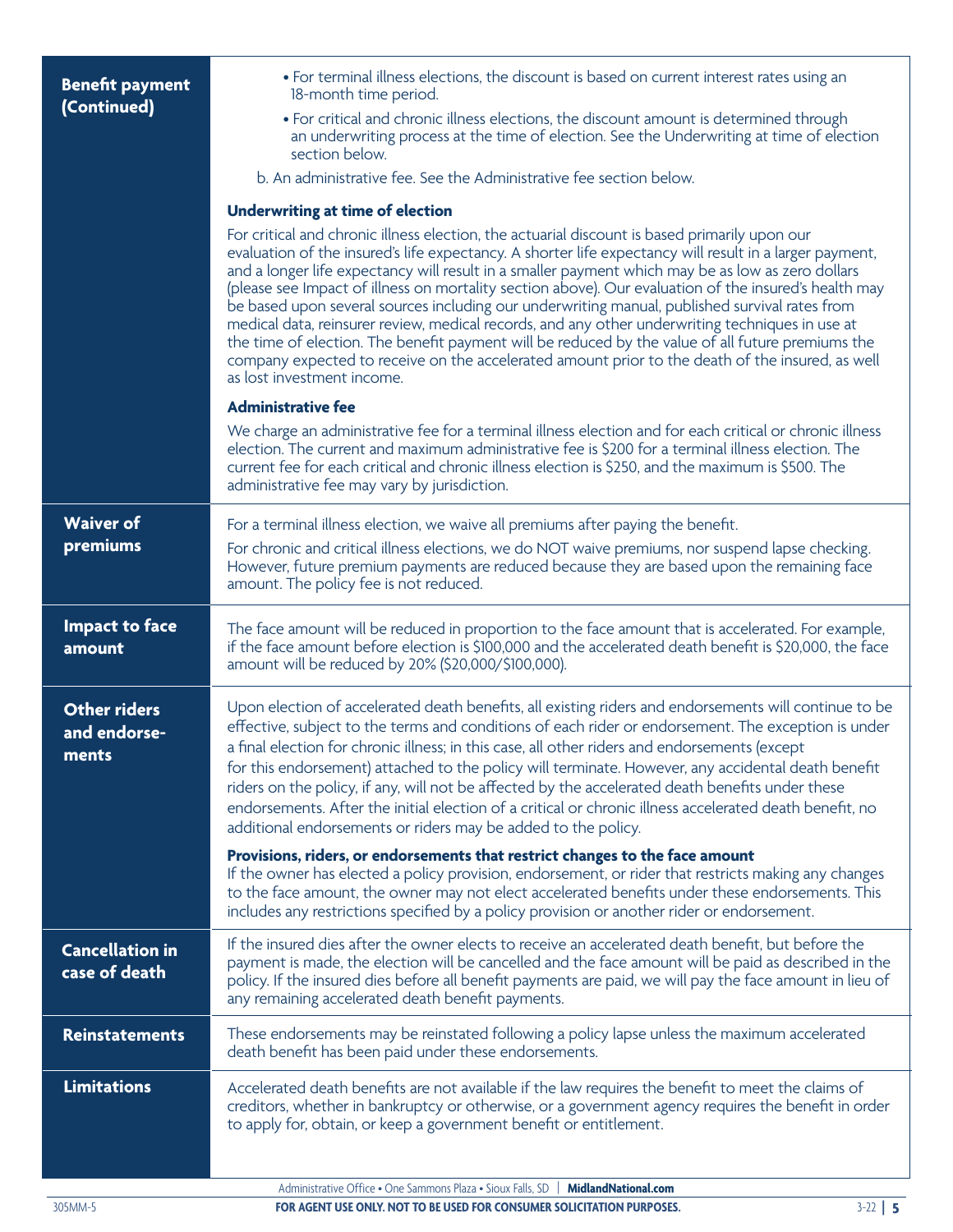| <b>Benefit payment</b>                       | • For terminal illness elections, the discount is based on current interest rates using an<br>18-month time period.                                                                                                                                                                                                                                                                                                                                                                                                                                                                                                                                                                                                                                                                                                                                                 |
|----------------------------------------------|---------------------------------------------------------------------------------------------------------------------------------------------------------------------------------------------------------------------------------------------------------------------------------------------------------------------------------------------------------------------------------------------------------------------------------------------------------------------------------------------------------------------------------------------------------------------------------------------------------------------------------------------------------------------------------------------------------------------------------------------------------------------------------------------------------------------------------------------------------------------|
| (Continued)                                  | • For critical and chronic illness elections, the discount amount is determined through<br>an underwriting process at the time of election. See the Underwriting at time of election<br>section below.                                                                                                                                                                                                                                                                                                                                                                                                                                                                                                                                                                                                                                                              |
|                                              | b. An administrative fee. See the Administrative fee section below.                                                                                                                                                                                                                                                                                                                                                                                                                                                                                                                                                                                                                                                                                                                                                                                                 |
|                                              | <b>Underwriting at time of election</b>                                                                                                                                                                                                                                                                                                                                                                                                                                                                                                                                                                                                                                                                                                                                                                                                                             |
|                                              | For critical and chronic illness election, the actuarial discount is based primarily upon our<br>evaluation of the insured's life expectancy. A shorter life expectancy will result in a larger payment,<br>and a longer life expectancy will result in a smaller payment which may be as low as zero dollars<br>(please see Impact of illness on mortality section above). Our evaluation of the insured's health may<br>be based upon several sources including our underwriting manual, published survival rates from<br>medical data, reinsurer review, medical records, and any other underwriting techniques in use at<br>the time of election. The benefit payment will be reduced by the value of all future premiums the<br>company expected to receive on the accelerated amount prior to the death of the insured, as well<br>as lost investment income. |
|                                              | <b>Administrative fee</b>                                                                                                                                                                                                                                                                                                                                                                                                                                                                                                                                                                                                                                                                                                                                                                                                                                           |
|                                              | We charge an administrative fee for a terminal illness election and for each critical or chronic illness<br>election. The current and maximum administrative fee is \$200 for a terminal illness election. The<br>current fee for each critical and chronic illness election is \$250, and the maximum is \$500. The<br>administrative fee may vary by jurisdiction.                                                                                                                                                                                                                                                                                                                                                                                                                                                                                                |
| <b>Waiver of</b>                             | For a terminal illness election, we waive all premiums after paying the benefit.                                                                                                                                                                                                                                                                                                                                                                                                                                                                                                                                                                                                                                                                                                                                                                                    |
| premiums                                     | For chronic and critical illness elections, we do NOT waive premiums, nor suspend lapse checking.<br>However, future premium payments are reduced because they are based upon the remaining face<br>amount. The policy fee is not reduced.                                                                                                                                                                                                                                                                                                                                                                                                                                                                                                                                                                                                                          |
| <b>Impact to face</b><br>amount              | The face amount will be reduced in proportion to the face amount that is accelerated. For example,<br>if the face amount before election is \$100,000 and the accelerated death benefit is \$20,000, the face<br>amount will be reduced by 20% (\$20,000/\$100,000).                                                                                                                                                                                                                                                                                                                                                                                                                                                                                                                                                                                                |
| <b>Other riders</b><br>and endorse-<br>ments | Upon election of accelerated death benefits, all existing riders and endorsements will continue to be<br>effective, subject to the terms and conditions of each rider or endorsement. The exception is under<br>a final election for chronic illness; in this case, all other riders and endorsements (except<br>for this endorsement) attached to the policy will terminate. However, any accidental death benefit<br>riders on the policy, if any, will not be affected by the accelerated death benefits under these<br>endorsements. After the initial election of a critical or chronic illness accelerated death benefit, no<br>additional endorsements or riders may be added to the policy.                                                                                                                                                                 |
|                                              | Provisions, riders, or endorsements that restrict changes to the face amount<br>If the owner has elected a policy provision, endorsement, or rider that restricts making any changes<br>to the face amount, the owner may not elect accelerated benefits under these endorsements. This<br>includes any restrictions specified by a policy provision or another rider or endorsement.                                                                                                                                                                                                                                                                                                                                                                                                                                                                               |
| <b>Cancellation in</b><br>case of death      | If the insured dies after the owner elects to receive an accelerated death benefit, but before the<br>payment is made, the election will be cancelled and the face amount will be paid as described in the<br>policy. If the insured dies before all benefit payments are paid, we will pay the face amount in lieu of<br>any remaining accelerated death benefit payments.                                                                                                                                                                                                                                                                                                                                                                                                                                                                                         |
| <b>Reinstatements</b>                        | These endorsements may be reinstated following a policy lapse unless the maximum accelerated<br>death benefit has been paid under these endorsements.                                                                                                                                                                                                                                                                                                                                                                                                                                                                                                                                                                                                                                                                                                               |
| <b>Limitations</b>                           | Accelerated death benefits are not available if the law requires the benefit to meet the claims of<br>creditors, whether in bankruptcy or otherwise, or a government agency requires the benefit in order<br>to apply for, obtain, or keep a government benefit or entitlement.                                                                                                                                                                                                                                                                                                                                                                                                                                                                                                                                                                                     |
|                                              | Administrative Office . One Sammons Plaza . Sioux Falls, SD<br><b>MidlandNational.com</b>                                                                                                                                                                                                                                                                                                                                                                                                                                                                                                                                                                                                                                                                                                                                                                           |